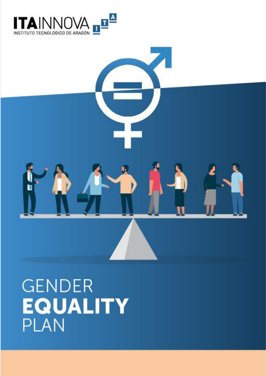



# **GENDER EQUALITY PLAN**

**TECHNOLOGICAL INSTITUTE OF**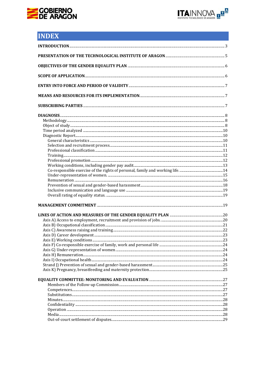



# **INDEX**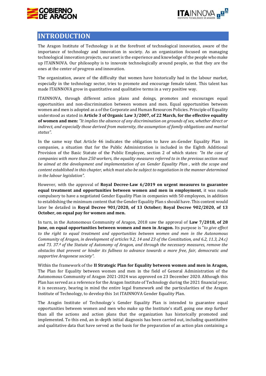



# <span id="page-2-0"></span>**INTRODUCTION**

The Aragon Institute of Technology is at the forefront of technological innovation, aware of the importance of technology and innovation in society. As an organization focused on managing technological innovation projects, our asset is the experience and knowledge of the people who make up ITAINNOVA. Our philosophy is to innovate technologically around people, so that they are the ones at the center of progress and innovation.

The organization, aware of the difficulty that women have historically had in the labour market, especially in the technology sector, tries to promote and encourage female talent. This talent has made ITAINNOVA grow in quantitative and qualitative terms in a very positive way.

ITAINNOVA, through different action plans and doings, promotes and encourages equal opportunities and non-discrimination between women and men. Equal opportunities between women and men is adopted as a of the Corporate and Human Resources Policies. Principle of Equality understood as stated in **Article 3 of Organic Law 3/2007, of 22 March, for the effective equality of women and men:** *"It implies the absence of any discrimination on grounds of sex, whether direct or*  indirect, and especially those derived from maternity, the assumption of family obligations and marital *status".*

In the same way that Article 46 indicates the obligation to have an-Gender Equality Plan in companies, a situation that for the Public Administration is included in the Eighth Additional Provision of the Basic Statute of the Public Employee, section 2 of which states: *"In the case of companies with more than 250 workers, the equality measures referred to in the previous section must be aimed at the development and implementation of an Gender Equality Plan , with the scope and content established in this chapter, which must also be subject to negotiation in the manner determined in the labour legislation".* 

However, with the approval of **Royal Decree-Law 6/2019 on urgent measures to guarantee equal treatment and opportunities between women and men in employment**, it was made compulsory to have a negotiated Gender Equality Plan in companies with 50 employees, in addition to establishing the minimum content that the Gender Equality Plan s should have. This content would later be detailed in **Royal Decree 901/2020, of 13 October; Royal Decree 902/2020, of 13 October, on equal pay for women and men.**

In turn, in the Autonomous Community of Aragon, 2018 saw the approval of **Law 7/2018, of 28 June, on equal opportunities between women and men in Aragon.** Its purpose is "*to give effect to the right to equal treatment and opportunities between women and men in the Autonomous Community of Aragon, in development of articles 9.2, 14 and 23 of the Constitution, and 6.2, 11.3, 24.c) and 73. 37.ª of the Statute of Autonomy of Aragon, and through the necessary measures, remove the obstacles that prevent or hinder its fullness to advance towards a more free, fair, democratic and supportive Aragonese society".*

Within the framework of the **II Strategic Plan for Equality between women and men in Aragon,**  The Plan for Equality between women and men in the field of General Administration of the Autonomous Community of Aragon 2021-2024 was approved on 23 December 2020. Although this Plan has served as a reference for the Aragon Institute of Technology during the 2021 financial year, it is necessary, bearing in mind the entire legal framework and the particularities of the Aragon Institute of Technology, to develop this 1st ITAINNOVA Gender Equality Plan.

The Aragón Institute of Technology´s Gender Equality Plan is intended to guarantee equal opportunities between women and men who make up the Institute's staff, going one step further than all the actions and action plans that the organization has historically promoted and implemented. To this end, an in-depth initial diagnosis has been carried out, including quantitative and qualitative data that have served as the basis for the preparation of an action plan containing a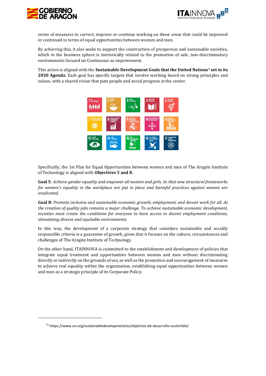



series of measures to correct, improve or continue working on those areas that could be improved or continued in terms of equal opportunities between women and men.

By achieving this, it also seeks to support the construction of prosperous and sustainable societies, which in the business sphere is intrinsically related to the promotion of safe, non-discriminatory environments focused on Continuous us improvement.

This action is aligned with the **Sustainable Development Goals that the United Nations<sup>1</sup> set in its 2030 Agenda.** Each goal has specific targets that involve working based on strong principles and values, with a shared vision that puts people and social progress at the center.



Specifically, the 1st Plan for Equal Opportunities between women and men of The Aragón Institute of Technology is aligned with **Objectives 5 and 8.**

**Goal 5**: *Achieve gender equality and empower all women and girls. So that new structural frameworks for women's equality in the workplace are put in place and harmful practices against women are eradicated.*

**Goal 8**: *Promote inclusive and sustainable economic growth, employment, and decent work for all. As the creation of quality jobs remains a major challenge. To achieve sustainable economic development, societies must create the conditions for everyone to have access to decent employment conditions, stimulating diverse and equitable environments.*

In this way, the development of a corporate strategy that considers sustainable and socially responsible criteria is a guarantee of growth, given that it focuses on the culture, circumstances and challenges of The Aragón Institute of Technology.

On the other hand, ITAINNOVA is committed to the establishment and development of policies that integrate equal treatment and opportunities between women and men without discriminating directly or indirectly on the grounds of sex, as well as the promotion and encouragement of measures to achieve real equality within the organization, establishing equal opportunities between women and men as a strategic principle of its Corporate Policy.

<span id="page-3-0"></span> $11$  https://www.un.org/sustainabledevelopment/es/obietivos-de-desarrollo-sostenible/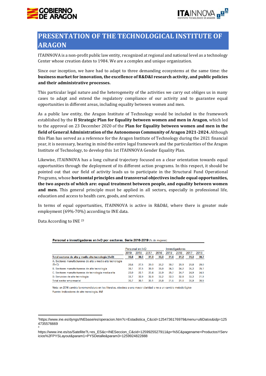



# **PRESENTATION OF THE TECHNOLOGICAL INSTITUTE OF ARAGON**

ITAINNOVA is a non-profit public law entity, recognized at regional and national level as a technology Center whose creation dates to 1984. We are a complex and unique organization.

Since our inception, we have had to adapt to three demanding ecosystems at the same time: the **business market for innovation, the excellence of R&D&I research activity, and public policies and their administrative processes.**

This particular legal nature and the heterogeneity of the activities we carry out obliges us in many cases to adapt and extend the regulatory compliance of our activity and to guarantee equal opportunities in different areas, including equality between women and men.

As a public law entity, the Aragon Institute of Technology would be included in the framework established by the **II Strategic Plan for Equality between women and men in Aragon**, which led to the approval on 23 December 2020 of the **Plan for Equality between women and men in the field of General Administration of the Autonomous Community of Aragon 2021-2024.** Although this Plan has served as a reference for the Aragon Institute of Technology during the 2021 financial year, it is necessary, bearing in mind the entire legal framework and the particularities of the Aragon Institute of Technology, to develop this 1st ITAINNOVA Gender Equality Plan.

Likewise, ITAINNOVA has a long cultural trajectory focused on a clear orientation towards equal opportunities through the deployment of its different action programs. In this respect, it should be pointed out that our field of activity leads us to participate in the Structural Fund Operational Programs, whose **horizontal principles and transversal objectives include equal opportunities, the two aspects of which are: equal treatment between people, and equality between women and men.** This general principle must be applied in all sectors, especially in professional life, education and access to health care, goods, and services.

In terms of equal opportunities, ITAINNOVA is active in R&D&I, where there is greater male employment (69%-70%) according to INE data.

Data According to INE <sup>23</sup>

3

|                                                            |      | Personal en I+D |      |      |      | Investigadores |      |      |
|------------------------------------------------------------|------|-----------------|------|------|------|----------------|------|------|
|                                                            | 2019 | 2018            | 2017 | 2016 | 2019 | 2018           | 2017 | 2016 |
| Total sectores de alta y media-alta tecnología (A+D)       | 30.8 | 30.3            | 31.0 | 30.3 | 31.6 | 31.2           | 31.3 | 30.7 |
| A. Sectores manufactureros de alta y media-alta tecnología |      |                 |      |      |      |                |      |      |
| $(B+C)$                                                    | 28.6 | 27.5            | 29.0 | 28.2 | 30.7 | 28.9           | 29.8 | 29.0 |
| B. Sectores manufactureros de alta tecnología              | 38.1 | 37.5            | 38.9 | 38.0 | 36.3 | 34.2           | 36.3 | 35.1 |
| C. Sectores manufactureros de tecnología media-alta        | 23.0 | 22.1            | 23.4 | 22.9 | 25.7 | 24.7           | 24.9 | 24.5 |
| D. Servicios de alta tecnología                            | 32.7 | 32.9            | 32.8 | 32.2 | 32.3 | 32.8           | 32.3 | 31.9 |
| Total sector empresarial                                   | 30.7 | 30.1            | 30.1 | 29.8 | 31.6 | 31.0           | 30.9 | 30.5 |

Personal e investigadores en I+D por sectores. Serie 2016-2019 (% de mujeres)

Nota: en 2016 cambia la nomenclatura en los literales, obedece a una mayor claridad y no a un cambio metodológico Fuente: Indicadores de alta tecnología. INE

<sup>2</sup>https://www.ine.es/dyngs/INEbase/es/operacion.htm?c=Estadistica\_C&cid=1254736176979&menu=ultiDatos&idp=125 4735576669

https://www.ine.es/ss/Satellite?L=es\_ES&c=INESeccion\_C&cid=1259925527911&p=%5C&pagename=ProductosYServ icios%2FPYSLayout&param1=PYSDetalle&param3=1259924822888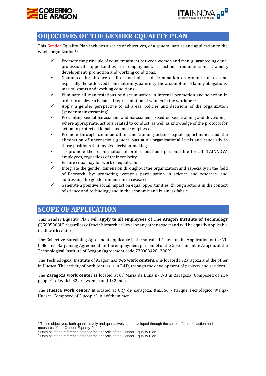



# <span id="page-5-0"></span>**OBJECTIVES OF THE GENDER EQUALITY PLAN**

This Gender Equality Plan includes a series of objectives, of a general nature and application to the whole organization<sup>4</sup>:

- ✓ Promote the principle of equal treatment between women and men, guaranteeing equal professional opportunities in employment, selection, remuneration, training, development, promotion and working conditions.
- ✓ Guarantee the absence of direct or indirect discrimination on grounds of sex, and especially those derived from maternity, paternity, the assumption of family obligations, marital status and working conditions.
- ✓ Eliminate all manifestations of discrimination in internal promotion and selection in order to achieve a balanced representation of women in the workforce.
- $\checkmark$  Apply a gender perspective to all areas, policies and decisions of the organization (gender mainstreaming).
- $\checkmark$  Preventing sexual harassment and harassment based on sex, training and developing, where appropriate, actions related to conduct, as well as knowledge of the protocol for action to protect all female and male employees.
- Promote through communication and training actions equal opportunities and the elimination of unconscious gender bias at all organizational levels and especially in those positions that involve decision-making.
- $\checkmark$  To promote the reconciliation of professional and personal life for all ITAINNOVA employees, regardless of their seniority.
- Ensure equal pay for work of equal value.
- Integrate the gender dimension throughout the organization and especially in the field of Research, by: promoting women's participation in science and research; and addressing the gender dimension in research.
- $\checkmark$  Generate a positive social impact on equal opportunities, through actions in the context of science and technology and in the economic and business fabric.

# <span id="page-5-1"></span>**SCOPE OF APPLICATION**

This Gender Equality Plan will **apply to all employees of The Aragón Institute of Technology (**Q5095008H) regardless of their hierarchical level or any other aspect and will be equally applicable to all work centers.

The Collective Bargaining Agreement applicable is the so-called "Pact for the Application of the VII Collective Bargaining Agreement for the employment personnel of the Government of Aragon, at the Technological Institute of Aragon (agreement code 72000342012009).

The Technological Institute of Aragon has **two work centers**, one located in Zaragoza and the other in Huesca. The activity of both centers is in R&D, through the development of projects and services.

The **Zaragoza work center is** located at C/ María de Luna nº 7-8 in Zaragoza. Composed of 214 people<sup>5</sup> , of which 82 are women and 132 men.

The **Huesca work center is** located at CR/ de Zaragoza, Km.566 - Parque Tecnológico Walqa-Huesca. Composed of 2 people<sup>6</sup>, all of them men.

<sup>4</sup> These objectives, both quantitatively and qualitatively, are developed through the section "Lines of action and measures of the Gender Equality Plan ".

<sup>&</sup>lt;sup>5</sup> Data as of the reference date for the analysis of the Gender Equality Plan.

 $6$  Data as of the reference date for the analysis of the Gender Equality Plan.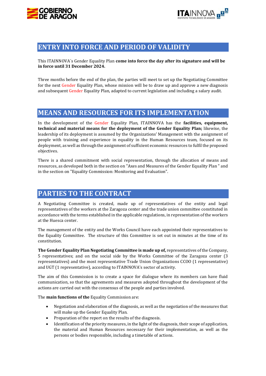



# <span id="page-6-0"></span>**ENTRY INTO FORCE AND PERIOD OF VALIDITY**

This ITAINNOVA´s Gender Equality Plan **come into force the day after its signature and will be in force until 31 December 2024.** 

Three months before the end of the plan, the parties will meet to set up the Negotiating Committee for the next Gender Equality Plan, whose mission will be to draw up and approve a new diagnosis and subsequent Gender Equality Plan, adapted to current legislation and including a salary audit.

# <span id="page-6-1"></span>**MEANS AND RESOURCES FOR ITS IMPLEMENTATION**

In the development of the Gender Equality Plan, ITAINNOVA has the **facilities, equipment, technical and material means for the deployment of the Gender Equality Plan;** likewise, the leadership of its deployment is assumed by the Organizations' Management with the assignment of people with training and experience in equality in the Human Resources team, focused on its deployment, as well as through the assignment of sufficient economic resources to fulfil the proposed objectives.

There is a shared commitment with social representation, through the allocation of means and resources, as developed both in the section on "Axes and Measures of the Gender Equality Plan " and in the section on "Equality Commission: Monitoring and Evaluation".

# <span id="page-6-2"></span>**PARTIES TO THE CONTRACT**

A Negotiating Committee is created, made up of representatives of the entity and legal representatives of the workers at the Zaragoza center and the trade union committee constituted in accordance with the terms established in the applicable regulations, in representation of the workers at the Huesca center.

The management of the entity and the Works Council have each appointed their representatives to the Equality Committee. The structure of this Committee is set out in minutes at the time of its constitution.

**The Gender Equality Plan Negotiating Committee is made up of,** representatives of the Company, 5 representatives; and on the social side by the Works Committee of the Zaragoza center (3 representatives) and the most representative Trade Union Organizations CCOO (1 representative) and UGT (1 representative), according to ITAINNOVA's sector of activity.

The aim of this Commission is to create a space for dialogue where its members can have fluid communication, so that the agreements and measures adopted throughout the development of the actions are carried out with the consensus of the people and parties involved.

The **main functions of the** Equality Commission are:

- Negotiation and elaboration of the diagnosis, as well as the negotiation of the measures that will make up the Gender Equality Plan.
- Preparation of the report on the results of the diagnosis.
- Identification of the priority measures, in the light of the diagnosis, their scope of application, the material and Human Resources necessary for their implementation, as well as the persons or bodies responsible, including a timetable of actions.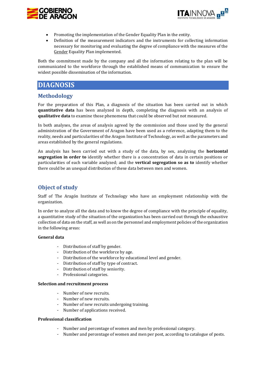



- Promoting the implementation of the Gender Equality Plan in the entity.
- Definition of the measurement indicators and the instruments for collecting information necessary for monitoring and evaluating the degree of compliance with the measures of the Gender Equality Plan implemented.

Both the commitment made by the company and all the information relating to the plan will be communicated to the workforce through the established means of communication to ensure the widest possible dissemination of the information.

# <span id="page-7-0"></span>**DIAGNOSIS**

## <span id="page-7-1"></span>**Methodology**

For the preparation of this Plan, a diagnosis of the situation has been carried out in which **quantitative data** has been analyzed in depth, completing the diagnosis with an analysis of **qualitative data** to examine those phenomena that could be observed but not measured.

In both analyses, the areas of analysis agreed by the commission and those used by the general administration of the Government of Aragon have been used as a reference, adapting them to the reality, needs and particularities of the Aragon Institute of Technology, as well as the parameters and areas established by the general regulations.

An analysis has been carried out with a study of the data, by sex, analyzing the **horizontal segregation in order to** identify whether there is a concentration of data in certain positions or particularities of each variable analyzed; and the **vertical segregation so as to** identify whether there could be an unequal distribution of these data between men and women.

## <span id="page-7-2"></span>**Object of study**

Staff of The Aragón Institute of Technology who have an employment relationship with the organization.

In order to analyze all the data and to know the degree of compliance with the principle of equality, a quantitative study of the situation of the organization has been carried out through the exhaustive collection of data on the staff, as well as on the personnel and employment policies of the organization in the following areas:

#### **General data**

- Distribution of staff by gender.
- Distribution of the workforce by age.
- Distribution of the workforce by educational level and gender.
- Distribution of staff by type of contract.
- Distribution of staff by seniority.
- Professional categories.

#### **Selection and recruitment process**

- Number of new recruits.
- Number of new recruits.
- Number of new recruits undergoing training.
- Number of applications received.

#### **Professional classification**

- Number and percentage of women and men by professional category.
- Number and percentage of women and men per post, according to catalogue of posts.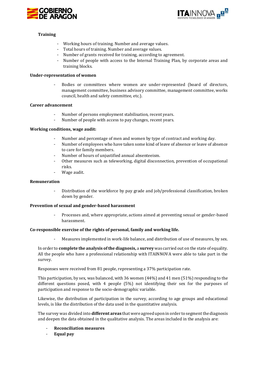



#### **Training**

- Working hours of training. Number and average values.
- Total hours of training. Number and average values.
- Number of grants received for training, according to agreement.
- Number of people with access to the Internal Training Plan, by corporate areas and training blocks.

#### **Under-representation of women**

- Bodies or committees where women are under-represented (board of directors, management committee, business advisory committee, management committee, works council, health and safety committee, etc.).

#### **Career advancement**

- Number of persons employment stabilisation, recent years.
- Number of people with access to pay changes, recent years.

#### **Working conditions, wage audit:**

- Number and percentage of men and women by type of contract and working day.
- Number of employees who have taken some kind of leave of absence or leave of absence to care for family members.
- Number of hours of unjustified annual absenteeism.
- Other measures such as teleworking, digital disconnection, prevention of occupational risks.
- Wage audit.

#### **Remuneration**

- Distribution of the workforce by pay grade and job/professional classification, broken down by gender.

#### **Prevention of sexual and gender-based harassment**

- Processes and, where appropriate, actions aimed at preventing sexual or gender-based harassment.

#### **Co-responsible exercise of the rights of personal, family and working life.**

Measures implemented in work-life balance, and distribution of use of measures, by sex.

In order to **complete the analysis of the diagnosis,** a **survey** was carried out on the state of equality. All the people who have a professional relationship with ITAINNOVA were able to take part in the survey.

Responses were received from 81 people, representing a 37% participation rate.

This participation, by sex, was balanced, with 36 women (44%) and 41 men (51%) responding to the different questions posed, with 4 people (5%) not identifying their sex for the purposes of participation and response to the socio-demographic variable.

Likewise, the distribution of participation in the survey, according to age groups and educational levels, is like the distribution of the data used in the quantitative analysis.

The survey was divided into **different areas** that were agreed upon in order to segment the diagnosis and deepen the data obtained in the qualitative analysis. The areas included in the analysis are:

- **Reconciliation measures**
- **Equal pay**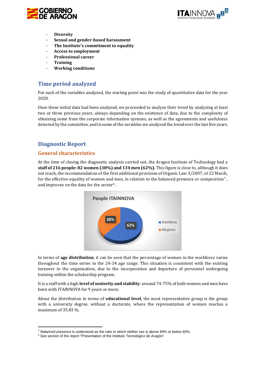



- **Diversity**
- **Sexual and gender-based harassment**
- **The Institute's commitment to equality**
- **Access to employment**
- **Professional career**
- **Training**
- **Working conditions**

## <span id="page-9-0"></span>**Time period analyzed**

For each of the variables analyzed, the starting point was the study of quantitative data for the year 2020.

Once these initial data had been analyzed, we proceeded to analyze their trend by analyzing at least two or three previous years, always depending on the existence of data, due to the complexity of obtaining some from the corporate information systems, as well as the agreements and usefulness detected by the committee, and in some of the variables we analyzed the trend over the last five years.

## <span id="page-9-1"></span>**Diagnostic Report**

#### <span id="page-9-2"></span>**General characteristics**

At the time of closing the diagnostic analysis carried out, the Aragon Institute of Technology had a **staff of 216 people: 82 women (38%) and 134 men (62%).** This figure is close to, although it does not reach, the recommendation of the first additional provision of Organic Law 3/2007, of 22 March, for the effective equality of women and men, in relation to the balanced presence or composition<sup>7</sup>. and improves on the data for the sector<sup>8</sup> .



In terms of **age distribution**, it can be seen that the percentage of women in the workforce varies throughout the time series in the 24-34 age range. This situation is consistent with the existing turnover in the organization, due to the incorporation and departure of personnel undergoing training within the scholarship program.

It is a staff with a high **level of seniority and stability**: around 74-75% of both women and men have been with ITAINNOVA for 9 years or more.

About the distribution in terms of **educational level**, the most representative group is the group with a university degree, without a doctorate, where the representation of women reaches a maximum of 35.83 %.

<sup>&</sup>lt;sup>7</sup> Balanced presence is understood as the ratio in which neither sex is above 60% or below 40%.

<sup>&</sup>lt;sup>8</sup> See section of the report "Presentation of the Instituto Tecnologico de Aragón".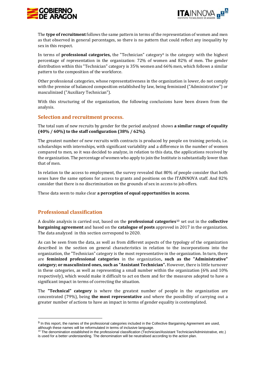



The **type of recruitment** follows the same pattern in terms of the representation of women and men as that observed in general percentages, so there is no pattern that could reflect any inequality by sex in this respect.

In terms of **professional categories,** the "Technician" category<sup>9</sup> is the category with the highest percentage of representation in the organization: 72% of women and 82% of men. The gender distribution within this "Technician" category is 35% women and 66% men, which follows a similar pattern to the composition of the workforce.

Other professional categories, whose representativeness in the organization is lower, do not comply with the premise of balanced composition established by law, being feminized ("Administrative") or masculinized ("Auxiliary Technician").

With this structuring of the organization, the following conclusions have been drawn from the analysis.

#### <span id="page-10-0"></span>**Selection and recruitment process.**

The total sum of new recruits by gender for the period analyzed shows **a similar range of equality (40% / 60%) to the staff configuration (38% / 62%)**.

The greatest number of new recruits with contracts is produced by people on training periods, i.e. scholarships with internships, with significant variability and a difference in the number of women compared to men, so it was decided to analyze, in relation to this data, the applications received by the organization. The percentage of women who apply to join the Institute is substantially lower than that of men.

In relation to the access to employment, the survey revealed that 80% of people consider that both sexes have the same options for access to grants and positions on the ITAINNOVA staff. And 82% consider that there is no discrimination on the grounds of sex in access to job offers.

These data seem to make clear **a perception of equal opportunities in access**.

#### <span id="page-10-1"></span>**Professional classification**

A double analysis is carried out, based on the **professional categories**<sup>10</sup> set out in the **collective bargaining agreement** and based on the **catalogue of posts** approved in 2017 in the organization. The data analyzed in this section correspond to 2020.

As can be seen from the data, as well as from different aspects of the typology of the organization described in the section on general characteristics in relation to the incorporations into the organization, the "Technician" category is the most representative in the organization. In turn, there are **feminized professional categories** in the organization**, such as the "Administrative" category; or masculinized ones, such as "Assistant Technician".** However, there is little turnover in these categories, as well as representing a small number within the organization (6% and 10% respectively), which would make it difficult to act on them and for the measures adopted to have a significant impact in terms of correcting the situation.

The **"Technical" category** is where the greatest number of people in the organization are concentrated (79%), being **the most representative** and where the possibility of carrying out a greater number of actions to have an impact in terms of gender equality is contemplated.

<sup>&</sup>lt;sup>9</sup> In this report, the names of the professional categories included in the Collective Bargaining Agreement are used, although these names will be reformulated in terms of inclusive language.

<sup>&</sup>lt;sup>10</sup> The denomination established in the professional classification (Technician/Assistant Technician/Administrative, etc.) is used for a better understanding. The denomination will be neutralised according to the action plan.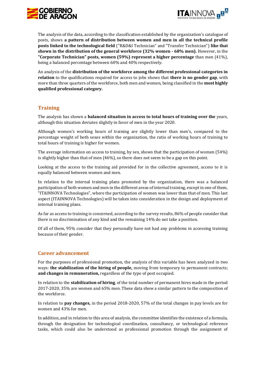



The analysis of the data, according to the classification established by the organization's catalogue of posts, shows **a pattern of distribution between women and men in all the technical profile posts linked to the technological field** ("R&D&I Technician" and "Transfer Technician") **like that shown in the distribution of the general workforce (32% women - 68% men).** However, in the **"Corporate Technician" posts, women (59%) represent a higher percentage** than men (41%), being a balanced percentage between 60% and 40% respectively.

An analysis of the **distribution of the workforce among the different professional categories in relation** to the qualifications required for access to jobs shows that **there is no gender gap**, with more than three quarters of the workforce, both men and women, being classified in the **most highly qualified professional category.**

#### <span id="page-11-0"></span>**Training**

The analysis has shown a **balanced situation in access to total hours of training over the** years, although this situation deviates slightly in favor of men in the year 2020.

Although women's working hours of training are slightly lower than men's, compared to the percentage weight of both sexes within the organization, the ratio of working hours of training to total hours of training is higher for women.

The average information on access to training, by sex, shows that the participation of women (54%) is slightly higher than that of men (46%), so there does not seem to be a gap on this point.

Looking at the access to the training aid provided for in the collective agreement, access to it is equally balanced between women and men.

In relation to the internal training plans promoted by the organization, there was a balanced participation of both women and men in the different areas of internal training, except in one of them, "ITAINNOVA Technologies", where the participation of women was lower than that of men. This last aspect (ITAINNOVA Technologies) will be taken into consideration in the design and deployment of internal training plans.

As far as access to training is concerned, according to the survey results, 86% of people consider that there is no discrimination of any kind and the remaining 14% do not take a position.

Of all of them, 95% consider that they personally have not had any problems in accessing training because of their gender.

#### <span id="page-11-1"></span>**Career advancement**

For the purposes of professional promotion, the analysis of this variable has been analyzed in two ways: **the stabilization of the hiring of people,** moving from temporary to permanent contracts; **and changes in remuneration,** regardless of the type of post occupied.

In relation to the **stabilization of hiring**, of the total number of permanent hires made in the period 2017-2020, 35% are women and 65% men. These data show a similar pattern to the composition of the workforce.

In relation to **pay changes,** in the period 2018-2020, 57% of the total changes in pay levels are for women and 43% for men.

In addition, and in relation to this area of analysis, the committee identifies the existence of a formula, through the designation for technological coordination, consultancy, or technological reference tasks, which could also be understood as professional promotion through the assignment of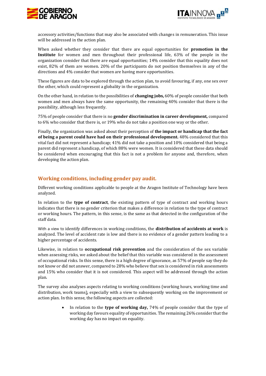



accessory activities/functions that may also be associated with changes in remuneration. This issue will be addressed in the action plan.

When asked whether they consider that there are equal opportunities for **promotion in the Institute** for women and men throughout their professional life, 63% of the people in the organization consider that there are equal opportunities; 14% consider that this equality does not exist, 82% of them are women. 20% of the participants do not position themselves in any of the directions and 4% consider that women are having more opportunities.

These figures are data to be explored through the action plan, to avoid favouring, if any, one sex over the other, which could represent a globality in the organization.

On the other hand, in relation to the possibilities of **changing jobs,** 60% of people consider that both women and men always have the same opportunity, the remaining 40% consider that there is the possibility, although less frequently.

75% of people consider that there is no **gender discrimination in career development,** compared to 6% who consider that there is, or 19% who do not take a position one way or the other.

Finally, the organization was asked about their perception of **the impact or handicap that the fact of being a parent could have had on their professional development.** 48% considered that this vital fact did not represent a handicap; 41% did not take a position and 10% considered that being a parent did represent a handicap, of which 88% were women. It is considered that these data should be considered when encouraging that this fact is not a problem for anyone and, therefore, when developing the action plan.

## <span id="page-12-0"></span>**Working conditions, including gender pay audit.**

Different working conditions applicable to people at the Aragon Institute of Technology have been analyzed.

In relation to the **type of contract**, the existing pattern of type of contract and working hours indicates that there is no gender criterion that makes a difference in relation to the type of contract or working hours. The pattern, in this sense, is the same as that detected in the configuration of the staff data.

With a view to identify differences in working conditions, the **distribution of accidents at work** is analyzed. The level of accident rate is low and there is no evidence of a gender pattern leading to a higher percentage of accidents.

Likewise, in relation to **occupational risk prevention** and the consideration of the sex variable when assessing risks, we asked about the belief that this variable was considered in the assessment of occupational risks. In this sense, there is a high degree of ignorance, as 57% of people say they do not know or did not answer, compared to 28% who believe that sex is considered in risk assessments and 15% who consider that it is not considered. This aspect will be addressed through the action plan.

The survey also analyses aspects relating to working conditions (working hours, working time and distribution, work teams), especially with a view to subsequently working on the improvement or action plan. In this sense, the following aspects are collected:

> • In relation to the **type of working day,** 74% of people consider that the type of working day favours equality of opportunities. The remaining 26% consider that the working day has no impact on equality.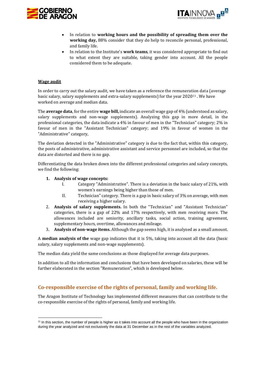



- In relation to **working hours and the possibility of spreading them over the working day,** 88% consider that they do help to reconcile personal, professional, and family life.
- In relation to the Institute's **work teams**, it was considered appropriate to find out to what extent they are suitable, taking gender into account. All the people considered them to be adequate.

#### **Wage audit**

In order to carry out the salary audit, we have taken as a reference the remuneration data (average basic salary, salary supplements and extra-salary supplements) for the year 2020<sup>11</sup> . We have worked on average and median data.

The **average data**, for the entire **wage bill,** indicate an overall wage gap of 4% (understood as salary, salary supplements and non-wage supplements). Analyzing this gap in more detail, in the professional categories, the data indicate a 4% in favour of men in the "Technician" category; 2% in favour of men in the "Assistant Technician" category; and 19% in favour of women in the "Administrative" category,

The deviation detected in the "Administrative" category is due to the fact that, within this category, the posts of administrative, administrative assistant and service personnel are included, so that the data are distorted and there is no gap.

Differentiating the data broken down into the different professional categories and salary concepts, we find the following:

#### **1. Analysis of wage concepts:**

- I. Category "Administrative". There is a deviation in the basic salary of 21%, with women's earnings being higher than those of men.
- II. Technician" category. There is a gap in basic salary of 3% on average, with men receiving a higher salary.
- 2. **Analysis of salary supplements.** In both the "Technician" and "Assistant Technician" categories, there is a gap of 22% and 17% respectively, with men receiving more. The allowances included are seniority, ancillary tasks, social action, training agreement, supplementary hours, overtime, allowances and mileage.
- 3. **Analysis of non-wage items.** Although the gap seems high, it is analyzed as a small amount.

A **median analysis of the** wage gap indicates that it is 5%, taking into account all the data (basic salary, salary supplements and non-wage supplements).

The median data yield the same conclusions as those displayed for average data purposes.

In addition to all the information and conclusions that have been developed on salaries, these will be further elaborated in the section "Remuneration", which is developed below.

## <span id="page-13-0"></span>**Co-responsible exercise of the rights of personal, family and working life.**

The Aragon Institute of Technology has implemented different measures that can contribute to the co-responsible exercise of the rights of personal, family and working life.

<sup>&</sup>lt;sup>11</sup> In this section, the number of people is higher as it takes into account all the people who have been in the organization during the year analyzed and not exclusively the data at 31 December as in the rest of the variables analyzed.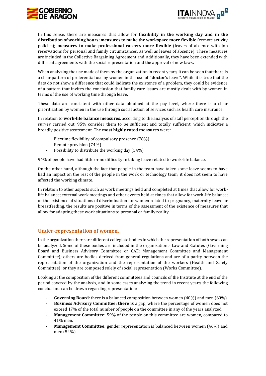



In this sense, there are measures that allow for **flexibility in the working day and in the distribution of working hours; measures to make the workspace more flexible** (remote activity policies); **measures to make professional careers more flexible** (leaves of absence with job reservations for personal and family circumstances, as well as leaves of absence). These measures are included in the Collective Bargaining Agreement and, additionally, they have been extended with different agreements with the social representation and the approval of new laws.

When analyzing the use made of them by the organization in recent years, it can be seen that there is a clear pattern of preferential use by women in the use of **"doctor's** leave". While it is true that the data do not show a difference that could indicate the existence of a problem, they could be evidence of a pattern that invites the conclusion that family care issues are mostly dealt with by women in terms of the use of working time through leave.

These data are consistent with other data obtained at the pay level, where there is a clear prioritization by women in the use through social action of services such as health care insurance.

In relation to **work-life balance measures**, according to the analysis of staff perception through the survey carried out, 95% consider them to be sufficient and totally sufficient, which indicates a broadly positive assessment. The **most highly rated measures** were:

- Flextime flexibility of compulsory presence (78%)
- Remote provision (74%)
- Possibility to distribute the working day (54%)

94% of people have had little or no difficulty in taking leave related to work-life balance.

On the other hand, although the fact that people in the team have taken some leave seems to have had an impact on the rest of the people in the work or technology team, it does not seem to have affected the working climate.

In relation to other aspects such as work meetings held and completed at times that allow for worklife balance; external work meetings and other events held at times that allow for work-life balance; or the existence of situations of discrimination for women related to pregnancy, maternity leave or breastfeeding, the results are positive in terms of the assessment of the existence of measures that allow for adapting these work situations to personal or family reality.

#### <span id="page-14-0"></span>**Under-representation of women.**

In the organization there are different collegiate bodies in which the representation of both sexes can be analyzed. Some of these bodies are included in the organization's Law and Statutes (Governing Board and Business Advisory Committee or CAE; Management Committee and Management Committee); others are bodies derived from general regulations and are of a parity between the representation of the organization and the representation of the workers (Health and Safety Committee); or they are composed solely of social representation (Works Committee).

Looking at the composition of the different committees and councils of the Institute at the end of the period covered by the analysis, and in some cases analyzing the trend in recent years, the following conclusions can be drawn regarding representation:

- **Governing Board**: there is a balanced composition between women (40%) and men (60%).
- **Business Advisory Committee: there is** a gap, where the percentage of women does not exceed 17% of the total number of people on the committee in any of the years analyzed.
- Management Committee: 59% of the people on this committee are women, compared to 41% men.
- **Management Committee**: gender representation is balanced between women (46%) and men (54%).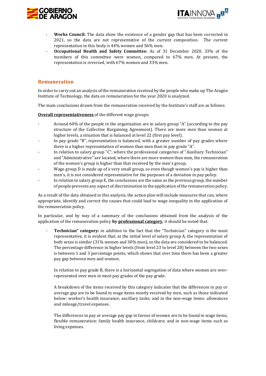



- Works Council: The data show the existence of a gender gap that has been corrected in 2021, so the data are not representative of the current composition. The current representation in this body is 44% women and 56% men.
- **Occupational Health and Safety Committee**: As of 31 December 2020, 33% of the members of this committee were women, compared to 67% men. At present, the representation is reversed, with 67% women and 33% men.

#### <span id="page-15-0"></span>**Remuneration**

In order to carry out an analysis of the remuneration received by the people who make up The Aragón Institute of Technology, the data on remuneration for the year 2020 is analyzed.

The main conclusions drawn from the remuneration received by the Institute's staff are as follows:

**Overall representativeness** of the different wage groups:

- Around 60% of the people in the organization are in salary group "A" (according to the pay structure of the Collective Bargaining Agreement). There are more men than women at higher levels, a situation that is balanced at level 22 (first pay level).
- In pay grade "B", representation is balanced, with a greater number of pay grades where there is a higher representation of women than men than in pay grade "A".
- In relation to salary group "C", where the professional categories of "Auxiliary Technician" and "Administrative" are located, where there are more women than men, the remuneration of the women's group is higher than that received by the men's group.
- Wage group D is made up of a very small group, so even though women's pay is higher than men's, it is not considered representative for the purposes of a deviation in pay policy.
- In relation to salary group E, the conclusions are the same as the previous group, the number of people prevents any aspect of discrimination in the application of the remuneration policy.

As a result of the data obtained in this analysis, the action plan will include measures that can, where appropriate, identify and correct the causes that could lead to wage inequality in the application of the remuneration policy.

In particular, and by way of a summary of the conclusions obtained from the analysis of the application of the remuneration policy **by professional category**, it should be noted that:

**Technician" category:** in addition to the fact that the "Technician" category is the most representative, it is evident that, at the initial level of salary group A, the representation of both sexes is similar (31% women and 30% men), so the data are considered to be balanced. The percentage difference in higher levels (from level 23 to level 28) between the two sexes is between 1 and 3 percentage points, which shows that over time there has been a greater pay gap between men and women.

In relation to pay grade B, there is a horizontal segregation of data where women are overrepresented over men in most pay grades of the pay grade.

A breakdown of the items received by this category indicates that the differences in pay or average gap are to be found in wage items mostly received by men, such as those indicated below: worker's health insurance; ancillary tasks; and in the non-wage items: allowances and mileage/travel expenses.

The differences in pay or average pay gap in favour of women are to be found in wage items, flexible remuneration: family health insurance, childcare; and in non-wage items such as living expenses.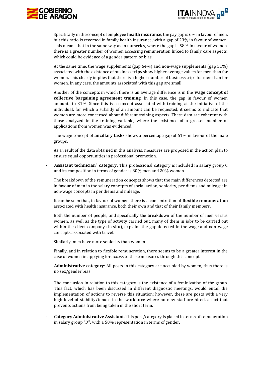



Specifically in the concept of employee **health insurance**, the pay gap is 6% in favour of men, but this ratio is reversed in family health insurance, with a gap of 23% in favour of women. This means that in the same way as in nurseries, where the gap is 58% in favour of women, there is a greater number of women accessing remuneration linked to family care aspects, which could be evidence of a gender pattern or bias.

At the same time, the wage supplements (gap 64%) and non-wage supplements (gap 51%) associated with the existence of business **trips** show higher average values for men than for women. This clearly implies that there is a higher number of business trips for men than for women. In any case, the amounts associated with this gap are small.

Another of the concepts in which there is an average difference is in the **wage concept of collective bargaining agreement training**. In this case, the gap in favour of women amounts to 31%. Since this is a concept associated with training at the initiative of the individual, for which a subsidy of an amount can be requested, it seems to indicate that women are more concerned about different training aspects. These data are coherent with those analyzed in the training variable, where the existence of a greater number of applications from women was evidenced.

The wage concept of **ancillary tasks** shows a percentage gap of 61% in favour of the male groups.

As a result of the data obtained in this analysis, measures are proposed in the action plan to ensure equal opportunities in professional promotion.

- **Assistant technician" category.** This professional category is included in salary group C and its composition in terms of gender is 80% men and 20% women.

The breakdown of the remuneration concepts shows that the main differences detected are in favour of men in the salary concepts of social action, seniority, per diems and mileage; in non-wage concepts in per diems and mileage.

It can be seen that, in favour of women, there is a concentration of **flexible remuneration**  associated with health insurance, both their own and that of their family members.

Both the number of people, and specifically the breakdown of the number of men versus women, as well as the type of activity carried out, many of them in jobs to be carried out within the client company (in situ), explains the gap detected in the wage and non-wage concepts associated with travel.

Similarly, men have more seniority than women.

Finally, and in relation to flexible remuneration, there seems to be a greater interest in the case of women in applying for access to these measures through this concept.

- **Administrative category**: All posts in this category are occupied by women, thus there is no sex/gender bias.

The conclusion in relation to this category is the existence of a feminization of the group. This fact, which has been discussed in different diagnostic meetings, would entail the implementation of actions to reverse this situation; however, these are posts with a very high level of stability/tenure in the workforce where no new staff are hired, a fact that prevents actions from being taken in the short term.

- **Category Administrative Assistant**. This post/category is placed in terms of remuneration in salary group "D", with a 50% representation in terms of gender.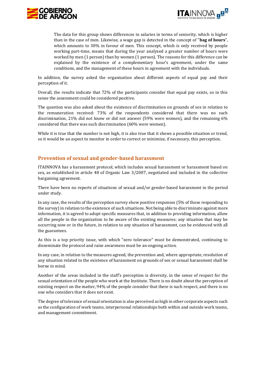



The data for this group shows differences in salaries in terms of seniority, which is higher than in the case of men. Likewise, a wage gap is detected in the concept of "**bag of hours**", which amounts to 30% in favour of men. This concept, which is only received by people working part-time, means that during the year analyzed a greater number of hours were worked by men (1 person) than by women (1 person). The reasons for this difference can be explained by the existence of a complementary hour's agreement, under the same conditions, and the management of these hours in agreement with the individuals.

In addition, the survey asked the organization about different aspects of equal pay and their perception of it.

Overall, the results indicate that 72% of the participants consider that equal pay exists, so in this sense the assessment could be considered positive.

The question was also asked about the existence of discrimination on grounds of sex in relation to the remuneration received: 73% of the respondents considered that there was no such discrimination, 21% did not know or did not answer (59% were women), and the remaining 6% considered that there was such discrimination (60% were women).

While it is true that the number is not high, it is also true that it shows a possible situation or trend, so it would be an aspect to monitor in order to correct or minimize, if necessary, this perception.

## <span id="page-17-0"></span>**Prevention of sexual and gender-based harassment**

ITAINNOVA has a harassment protocol, which includes sexual harassment or harassment based on sex, as established in article 48 of Organic Law 3/2007, negotiated and included in the collective bargaining agreement.

There have been no reports of situations of sexual and/or gender-based harassment in the period under study.

In any case, the results of the perception survey show positive responses (5% of those responding to the survey) in relation to the existence of such situations. Not being able to discriminate against more information, it is agreed to adopt specific measures that, in addition to providing information, allow all the people in the organization to be aware of the existing measures; any situation that may be occurring now or in the future, in relation to any situation of harassment, can be evidenced with all the guarantees.

As this is a top priority issue, with which "zero tolerance" must be demonstrated, continuing to disseminate the protocol and raise awareness must be an ongoing action.

In any case, in relation to the measures agreed, the prevention and, where appropriate, resolution of any situation related to the existence of harassment on grounds of sex or sexual harassment shall be borne in mind.

Another of the areas included in the staff's perception is diversity, in the sense of respect for the sexual orientation of the people who work at the Institute. There is no doubt about the perception of existing respect on the matter, 94% of the people consider that there is such respect, and there is no one who considers that it does not exist.

The degree of tolerance of sexual orientation is also perceived as high in other corporate aspects such as the configuration of work teams, interpersonal relationships both within and outside work teams, and management commitment.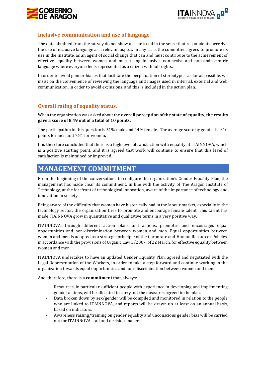



#### <span id="page-18-0"></span>**Inclusive communication and use of language**

The data obtained from the survey do not show a clear trend in the sense that respondents perceive the use of inclusive language as a relevant aspect. In any case, the committee agrees to promote its use in the Institute, as an agent of social change that can and must contribute to the achievement of effective equality between women and men, using inclusive, non-sexist and non-androcentric language where everyone feels represented as a citizen with full rights.

In order to avoid gender biases that facilitate the perpetuation of stereotypes, as far as possible, we insist on the convenience of reviewing the language and images used in internal, external and web communication, in order to avoid exclusions, and this is included in the action plan.

## <span id="page-18-1"></span>**Overall rating of equality status.**

When the organization was asked about the **overall perception of the state of equality, the results gave a score of 8.49 out of a total of 10 points.**

The participation in this question is 51% male and 44% female. The average score by gender is 9.10 points for men and 7.81 for women.

It is therefore concluded that there is a high level of satisfaction with equality at ITAINNOVA, which is a positive starting point, and it is agreed that work will continue to ensure that this level of satisfaction is maintained or improved.

# <span id="page-18-2"></span>**MANAGEMENT COMMITMENT**

From the beginning of the conversations to configure the organization's Gender Equality Plan, the management has made clear its commitment, in line with the activity of The Aragón Institute of Technology, at the forefront of technological innovation, aware of the importance of technology and innovation in society.

Being aware of the difficulty that women have historically had in the labour market, especially in the technology sector, the organization tries to promote and encourage female talent. This talent has made ITAINNOVA grow in quantitative and qualitative terms in a very positive way.

ITAINNOVA, through different action plans and actions, promotes and encourages equal opportunities and non-discrimination between women and men. Equal opportunities between women and men is adopted as a strategic principle of the Corporate and Human Resources Policies, in accordance with the provisions of Organic Law 3/2007, of 22 March, for effective equality between women and men.

ITAINNOVA undertakes to have an updated Gender Equality Plan, agreed and negotiated with the Legal Representation of the Workers, in order to take a step forward and continue working in the organization towards equal opportunities and non-discrimination between women and men.

And, therefore, there is a **commitment** that, always:

- Resources, in particular sufficient people with experience in developing and implementing gender actions, will be allocated to carry out the measures agreed in the plan.
- Data broken down by sex/gender will be compiled and monitored in relation to the people who are linked to ITAINNOVA, and reports will be drawn up at least on an annual basis, based on indicators.
- Awareness raising/training on gender equality and unconscious gender bias will be carried out for ITAINNOVA staff and decision-makers.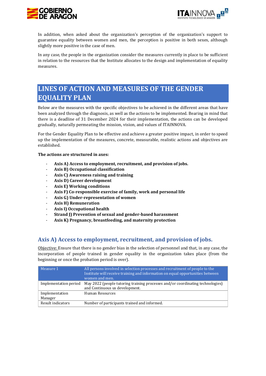



In addition, when asked about the organization's perception of the organization's support to guarantee equality between women and men, the perception is positive in both sexes, although slightly more positive in the case of men.

In any case, the people in the organization consider the measures currently in place to be sufficient in relation to the resources that the Institute allocates to the design and implementation of equality measures.

# <span id="page-19-0"></span>**LINES OF ACTION AND MEASURES OF THE GENDER EQUALITY PLAN**

Below are the measures with the specific objectives to be achieved in the different areas that have been analyzed through the diagnosis, as well as the actions to be implemented. Bearing in mind that there is a deadline of 31 December 2024 for their implementation, the actions can be developed gradually, naturally permeating the mission, vision, and values of ITAINNOVA.

For the Gender Equality Plan to be effective and achieve a greater positive impact, in order to speed up the implementation of the measures, concrete, measurable, realistic actions and objectives are established.

**The actions are structured in axes:**

- **Axis A) Access to employment, recruitment, and provision of jobs.**
- **Axis B) Occupational classification**
- **Axis C) Awareness raising and training**
- **Axis D) Career development**
- **Axis E) Working conditions**
- **Axis F) Co-responsible exercise of family, work and personal life**
- **Axis G) Under-representation of women**
- **Axis H) Remuneration**
- **Axis I) Occupational health**
- **Strand J) Prevention of sexual and gender-based harassment**
- **Axis K) Pregnancy, breastfeeding, and maternity protection**

## <span id="page-19-1"></span>**Axis A) Access to employment, recruitment, and provision of jobs.**

Objective: Ensure that there is no gender bias in the selection of personnel and that, in any case, the incorporation of people trained in gender equality in the organization takes place (from the beginning or once the probation period is over).

| $\vert$ Measure 1         | All persons involved in selection processes and recruitment of people to the<br>Institute will receive training and information on equal opportunities between<br>women and men. |
|---------------------------|----------------------------------------------------------------------------------------------------------------------------------------------------------------------------------|
| Implementation period     | May 2022 (people tutoring training processes and/or coordinating technologies)<br>and Continuous us development.                                                                 |
| Implementation<br>Manager | Human Resources                                                                                                                                                                  |
| Result indicators         | Number of participants trained and informed.                                                                                                                                     |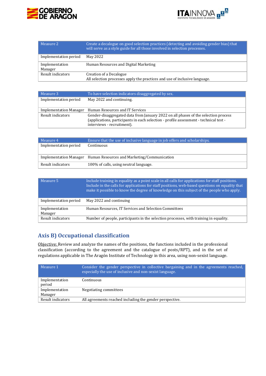



| $\mathsf{M}$ Measure 2    | Create a decalogue on good selection practices (detecting and avoiding gender bias) that<br>will serve as a style guide for all those involved in selection processes. |
|---------------------------|------------------------------------------------------------------------------------------------------------------------------------------------------------------------|
| Implementation period     | May 2022                                                                                                                                                               |
| Implementation<br>Manager | Human Resources and Digital Marketing                                                                                                                                  |
| Result indicators         | Creation of a Decalogue<br>All selection processes apply the practices and use of inclusive language.                                                                  |

| $\mathsf I$ Measure 3 $\mathsf I$ | To have selection indicators disaggregated by sex.                                                                                                                                                        |
|-----------------------------------|-----------------------------------------------------------------------------------------------------------------------------------------------------------------------------------------------------------|
| Implementation period             | May 2022 and continuing.                                                                                                                                                                                  |
| Implementation Manager            | Human Resources and IT Services                                                                                                                                                                           |
| Result indicators                 | Gender-disaggregated data from January 2022 on all phases of the selection process<br>(applications, participants in each selection - profile assessment - technical test -<br>interviews - recruitment). |

| $\blacksquare$ Measure 4 | Ensure that the use of inclusive language in job offers and scholarships. |
|--------------------------|---------------------------------------------------------------------------|
| Implementation period    | Continuous                                                                |
|                          |                                                                           |
|                          | Implementation Manager Human Resources and Marketing/Communication        |
| Result indicators        | 100% of calls, using neutral language.                                    |

| $M$ easure 5              | Include training in equality as a point scale in all calls for applications for staff positions.<br>Include in the calls for applications for staff positions, web-based questions on equality that<br>make it possible to know the degree of knowledge on this subject of the people who apply. |
|---------------------------|--------------------------------------------------------------------------------------------------------------------------------------------------------------------------------------------------------------------------------------------------------------------------------------------------|
| Implementation period     | May 2022 and continuing                                                                                                                                                                                                                                                                          |
| Implementation<br>Manager | Human Resources, IT Services and Selection Committees                                                                                                                                                                                                                                            |
| Result indicators         | Number of people, participants in the selection processes, with training in equality.                                                                                                                                                                                                            |

# <span id="page-20-0"></span>**Axis B) Occupational classification**

Objective: Review and analyze the names of the positions, the functions included in the professional classification (according to the agreement and the catalogue of posts/RPT), and in the set of regulations applicable in The Aragón Institute of Technology in this area, using non-sexist language.

<span id="page-20-1"></span>

| Measure 1                 | Consider the gender perspective in collective bargaining and in the agreements reached,<br>especially the use of inclusive and non-sexist language. |
|---------------------------|-----------------------------------------------------------------------------------------------------------------------------------------------------|
| Implementation<br>period  | Continuous                                                                                                                                          |
| Implementation<br>Manager | Negotiating committees                                                                                                                              |
| Result indicators         | All agreements reached including the gender perspective.                                                                                            |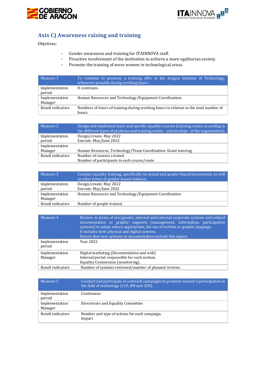



# **Axis C) Awareness raising and training**

Objetives:

- Gender awareness and training for ITAINNOVA staff.
- Proactive involvement of the institution to achieve a more egalitarian society.
- Promote the training of more women in technological areas.

| $\mathsf{I}$ Measure 1    | To continue to promote a training offer at the Aragon Institute of Technology,<br>whenever possible during working hours. |
|---------------------------|---------------------------------------------------------------------------------------------------------------------------|
| Implementation<br>period  | It continues.                                                                                                             |
| Implementation<br>Manager | Human Resources and Technology/Equipment Coordination.                                                                    |
| Result indicators         | Numbers of hours of training during working hours in relation to the total number of<br>hours.                            |

| Measure 2         | Design and implement basic and specific equality courses (training routes according to<br>the different types of positions and training routes - scholarships - of the organization). |
|-------------------|---------------------------------------------------------------------------------------------------------------------------------------------------------------------------------------|
| Implementation    | Design/create. May 2022                                                                                                                                                               |
| period            | Execute. May/June 2022                                                                                                                                                                |
| Implementation    |                                                                                                                                                                                       |
| Manager           | Human Resources, Technology/Team Coordination. Grant tutoring.                                                                                                                        |
| Result indicators | Number of courses created.                                                                                                                                                            |
|                   | Number of participants in each course/route                                                                                                                                           |

| Measure 3                 | Conduct equality training, specifically on sexual and gender-based harassment, as well<br>as other forms of gender-based violence. |
|---------------------------|------------------------------------------------------------------------------------------------------------------------------------|
| Implementation<br>period  | Design/create. May 2022<br>Execute. May/June 2022                                                                                  |
| Implementation<br>Manager | Human Resources and Technology/Equipment Coordination                                                                              |
| Result indicators         | Number of people trained.                                                                                                          |

| Measure 4                | Review, in terms of sex/gender, internal and external corporate systems and related<br>documentation or graphic supports (management, information, participation<br>systems) to adapt, where appropriate, the use of written or graphic language.<br>It includes both physical and digital systems.<br>Ensure that new systems or documentation include this aspect. |
|--------------------------|----------------------------------------------------------------------------------------------------------------------------------------------------------------------------------------------------------------------------------------------------------------------------------------------------------------------------------------------------------------------|
| Implementation<br>period | Year 2022                                                                                                                                                                                                                                                                                                                                                            |
| Implementation           | Digital marketing (Documentation and web)                                                                                                                                                                                                                                                                                                                            |
| Manager                  | Internal portal: responsible for each section.                                                                                                                                                                                                                                                                                                                       |
|                          | Equality Commission (monitoring).                                                                                                                                                                                                                                                                                                                                    |
| Result indicators        | Number of systems reviewed/number of planned reviews.                                                                                                                                                                                                                                                                                                                |

| Measure 5                 | Conduct and participate in outreach campaigns to promote women's participation in<br>the field of technology (11F, 8M and 25N). |
|---------------------------|---------------------------------------------------------------------------------------------------------------------------------|
| Implementation<br>period  | Continuous                                                                                                                      |
| Implementation<br>Manager | Directorate and Equality Committee                                                                                              |
| Result indicators         | Number and type of actions for each campaign.<br>Impact                                                                         |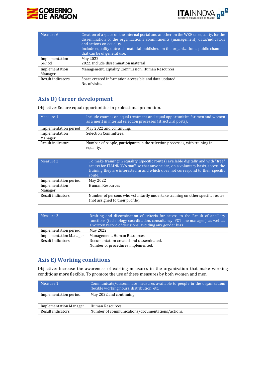



| Measure 6                 | Creation of a space on the internal portal and another on the WEB on equality, for the<br>dissemination of the organization's commitments (management) data/indicators<br>and actions on equality.<br>Include equality outreach material published on the organization's public channels<br>that can be of general use. |
|---------------------------|-------------------------------------------------------------------------------------------------------------------------------------------------------------------------------------------------------------------------------------------------------------------------------------------------------------------------|
| Implementation<br>period  | May 2022<br>2022. Include dissemination material                                                                                                                                                                                                                                                                        |
| Implementation<br>Manager | Management, Equality Commission, Human Resources                                                                                                                                                                                                                                                                        |
| Result indicators         | Space created information accessible and data updated.<br>No. of visits.                                                                                                                                                                                                                                                |

# <span id="page-22-0"></span>**Axis D) Career development**

Objective: Ensure equal opportunities in professional promotion.

| Measure 1             | Include courses on equal treatment and equal opportunities for men and women<br>as a merit in internal selection processes (structural posts). |
|-----------------------|------------------------------------------------------------------------------------------------------------------------------------------------|
| Implementation period | May 2022 and continuing.                                                                                                                       |
| Implementation        | Selection Committees.                                                                                                                          |
| Manager               |                                                                                                                                                |
| Result indicators     | Number of people, participants in the selection processes, with training in<br>equality.                                                       |

| Measure 2                 | To make training in equality (specific routes) available digitally and with "free"<br>access for ITAINNOVA staff, so that anyone can, on a voluntary basis, access the<br>training they are interested in and which does not correspond to their specific<br>route. |
|---------------------------|---------------------------------------------------------------------------------------------------------------------------------------------------------------------------------------------------------------------------------------------------------------------|
| Implementation period     | May 2022                                                                                                                                                                                                                                                            |
| Implementation<br>Manager | Human Resources                                                                                                                                                                                                                                                     |
| Result indicators         | Number of persons who voluntarily undertake training on other specific routes                                                                                                                                                                                       |
|                           | (not assigned to their profile).                                                                                                                                                                                                                                    |

| Measure 3                     | Drafting and dissemination of criteria for access to the Result of ancillary<br>functions (technology coordination, consultancy, PCT line manager), as well as<br>a written record of decisions, avoiding any gender bias. |
|-------------------------------|----------------------------------------------------------------------------------------------------------------------------------------------------------------------------------------------------------------------------|
| Implementation period         | May 2022                                                                                                                                                                                                                   |
| <b>Implementation Manager</b> | Management, Human Resources                                                                                                                                                                                                |
| Result indicators             | Documentation created and disseminated.                                                                                                                                                                                    |
|                               | Number of procedures implemented.                                                                                                                                                                                          |

## <span id="page-22-1"></span>**Axis E) Working conditions**

Objective: Increase the awareness of existing measures in the organization that make working conditions more flexible. To promote the use of these measures by both women and men.

| Measure 1                     | Communicate/disseminate measures available to people in the organization:<br>flexible working hours, distribution, etc. |
|-------------------------------|-------------------------------------------------------------------------------------------------------------------------|
| Implementation period         | May 2022 and continuing                                                                                                 |
| <b>Implementation Manager</b> | Human Resources                                                                                                         |
| Result indicators             | Number of communications/documentations/actions.                                                                        |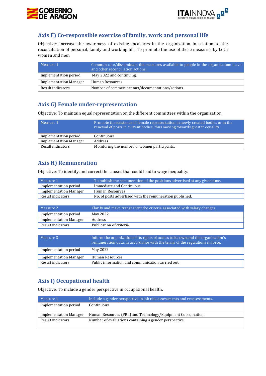



## <span id="page-23-0"></span>**Axis F) Co-responsible exercise of family, work and personal life**

Objective: Increase the awareness of existing measures in the organization in relation to the reconciliation of personal, family and working life. To promote the use of these measures by both women and men.

| Mearure 1                     | Communicate/disseminate the measures available to people in the organization: leave<br>and other reconciliation actions. |
|-------------------------------|--------------------------------------------------------------------------------------------------------------------------|
| Implementation period         | May 2022 and continuing.                                                                                                 |
| <b>Implementation Manager</b> | Human Resources                                                                                                          |
| Result indicators             | Number of communications/documentations/actions.                                                                         |

## <span id="page-23-1"></span>**Axis G) Female under-representation**

Objective: To maintain equal representation on the different committees within the organization.

| $\vert$ Measure 1             | Promote the existence of female representation in newly created bodies or in the<br>renewal of posts in current bodies, thus moving towards greater equality. |
|-------------------------------|---------------------------------------------------------------------------------------------------------------------------------------------------------------|
| Implementation period         | Continuous                                                                                                                                                    |
| <b>Implementation Manager</b> | Address                                                                                                                                                       |
| Result indicators             | Monitoring the number of women participants.                                                                                                                  |

## <span id="page-23-2"></span>**Axis H) Remuneration**

Objective: To identify and correct the causes that could lead to wage inequality.

| Measure 1                     | To publish the remuneration of the positions advertised at any given time. |
|-------------------------------|----------------------------------------------------------------------------|
| Implementation period         | Immediate and Continuous                                                   |
| <b>Implementation Manager</b> | Human Resources                                                            |
| Result indicators             | No. of posts advertised with the remuneration published.                   |
|                               |                                                                            |

| Measure 2                     | Clarify and make transparent the criteria associated with salary changes. |
|-------------------------------|---------------------------------------------------------------------------|
| Implementation period         | May 2022                                                                  |
| <b>Implementation Manager</b> | Address                                                                   |
| 'Result indicators            | Publication of criteria.                                                  |

| Measure 3                     | Inform the organization of its rights of access to its own and the organization's<br>remuneration data, in accordance with the terms of the regulations in force. |
|-------------------------------|-------------------------------------------------------------------------------------------------------------------------------------------------------------------|
| Implementation period         | May 2022                                                                                                                                                          |
| <b>Implementation Manager</b> | Human Resources                                                                                                                                                   |
| Result indicators             | Public information and communication carried out.                                                                                                                 |

## <span id="page-23-3"></span>**Axis I) Occupational health**

Objective: To include a gender perspective in occupational health.

| $\mathbin\Vert$ Measure 1 $\mathbin\Vert$ | Include a gender perspective in job risk assessments and reassessments. |
|-------------------------------------------|-------------------------------------------------------------------------|
| Implementation period                     | Continuous                                                              |
|                                           |                                                                         |
| <b>Implementation Manager</b>             | Human Resources (PRL) and Technology/Equipment Coordination             |
| Result indicators                         | Number of evaluations containing a gender perspective.                  |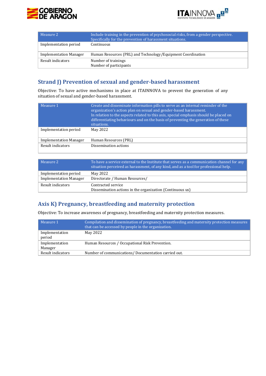



| Measure 2                     | Include training in the prevention of psychosocial risks, from a gender perspective.<br>Specifically for the prevention of harassment situations. |
|-------------------------------|---------------------------------------------------------------------------------------------------------------------------------------------------|
| Implementation period         | Continuous                                                                                                                                        |
| <b>Implementation Manager</b> | Human Resources (PRL) and Technology/Equipment Coordination                                                                                       |
| Result indicators             | Number of trainings<br>Number of participants                                                                                                     |

## <span id="page-24-0"></span>**Strand J) Prevention of sexual and gender-based harassment**

Objective: To have active mechanisms in place at ITAINNOVA to prevent the generation of any situation of sexual and gender-based harassment.

| Measure 1                     | Create and disseminate information pills to serve as an internal reminder of the<br>organization's action plan on sexual and gender-based harassment.<br>In relation to the aspects related to this axis, special emphasis should be placed on<br>differentiating behaviours and on the basis of preventing the generation of these<br>situations. |
|-------------------------------|----------------------------------------------------------------------------------------------------------------------------------------------------------------------------------------------------------------------------------------------------------------------------------------------------------------------------------------------------|
| Implementation period         | May 2022                                                                                                                                                                                                                                                                                                                                           |
| <b>Implementation Manager</b> | Human Resources (PRL)                                                                                                                                                                                                                                                                                                                              |
| Result indicators             | Dissemination actions                                                                                                                                                                                                                                                                                                                              |

| $\blacksquare$ Measure 2                               | To have a service external to the Institute that serves as a communication channel for any $'$<br>situation perceived as harassment, of any kind, and as a tool for professional help. |
|--------------------------------------------------------|----------------------------------------------------------------------------------------------------------------------------------------------------------------------------------------|
| Implementation period<br><b>Implementation Manager</b> | May 2022<br>Directorate / Human Resources/                                                                                                                                             |
| Result indicators                                      | Contracted service<br>Dissemination actions in the organization (Continuous us)                                                                                                        |

# <span id="page-24-1"></span>**Axis K) Pregnancy, breastfeeding and maternity protection**

Objective: To increase awareness of pregnancy, breastfeeding and maternity protection measures.

| $\mathsf I$ Measure 1     | Compilation and dissemination of pregnancy, breastfeeding and maternity protection measures<br>that can be accessed by people in the organization. |
|---------------------------|----------------------------------------------------------------------------------------------------------------------------------------------------|
| Implementation<br>period  | May 2022                                                                                                                                           |
| Implementation<br>Manager | Human Resources / Occupational Risk Prevention.                                                                                                    |
| Result indicators         | Number of communications/Documentation carried out.                                                                                                |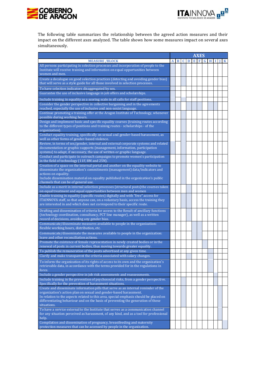



The following table summarizes the relationship between the agreed action measures and their impact on the different axes analyzed. The table shows how some measures impact on several axes simultaneously.

|                                                                                                                                                                        | <b>AXES</b> |   |   |   |   |   |   |  |   |
|------------------------------------------------------------------------------------------------------------------------------------------------------------------------|-------------|---|---|---|---|---|---|--|---|
| <b>MEASURE /BLOCK</b>                                                                                                                                                  | A           | B | C | D | Е | F | н |  | K |
| All persons participating in selection processes and incorporation of people to the                                                                                    |             |   |   |   |   |   |   |  |   |
| Institute will receive training and information on equal opportunities between<br>women and men.                                                                       |             |   |   |   |   |   |   |  |   |
| Create a decalogue on good selection practices (detecting and avoiding gender bias)<br>that will serve as a style guide for all those involved in selection processes. |             |   |   |   |   |   |   |  |   |
| To have selection indicators disaggregated by sex.                                                                                                                     |             |   |   |   |   |   |   |  |   |
| Guarantee the use of inclusive language in job offers and scholarships.                                                                                                |             |   |   |   |   |   |   |  |   |
| Include training in equality as a scoring scale in all calls for staff positions.                                                                                      |             |   |   |   |   |   |   |  |   |
| Consider the gender perspective in collective bargaining and in the agreements                                                                                         |             |   |   |   |   |   |   |  |   |
| reached, especially the use of inclusive and non-sexist language.<br>Continue promoting a training offer at the Aragon Institute of Technology, whenever               |             |   |   |   |   |   |   |  |   |
| possible during working hours.<br>Design and implement basic and specific equality courses (training routes according                                                  |             |   |   |   |   |   |   |  |   |
| to the different types of positions and training routes - scholarships - of the<br>organization).                                                                      |             |   |   |   |   |   |   |  |   |
| Conduct equality training, specifically on sexual and gender-based harassment, as<br>well as other forms of gender-based violence.                                     |             |   |   |   |   |   |   |  |   |
| Review, in terms of sex/gender, internal and external corporate systems and related                                                                                    |             |   |   |   |   |   |   |  |   |
| documentation or graphic supports (management, information, participation                                                                                              |             |   |   |   |   |   |   |  |   |
| systems) to adapt, if necessary, the use of written or graphic language.<br>Conduct and participate in outreach campaigns to promote women's participation             |             |   |   |   |   |   |   |  |   |
| in the field of technology (11F, 8M and 25N).                                                                                                                          |             |   |   |   |   |   |   |  |   |
| Creation of a space on the internal portal and another on the equality website to<br>disseminate the organization's commitments (management) data/indicators and       |             |   |   |   |   |   |   |  |   |
| actions on equality.                                                                                                                                                   |             |   |   |   |   |   |   |  |   |
| Include dissemination material on equality published in the organization's public                                                                                      |             |   |   |   |   |   |   |  |   |
| channels that can be of general use.<br>Include as a merit in internal selection processes (structural posts) the courses taken                                        |             |   |   |   |   |   |   |  |   |
| on equal treatment and equal opportunities between men and women                                                                                                       |             |   |   |   |   |   |   |  |   |
| Enable training in equality (specific routes) digitally and with "free" access for                                                                                     |             |   |   |   |   |   |   |  |   |
| ITAINNOVA staff, so that anyone can, on a voluntary basis, access the training they<br>are interested in and which does not correspond to their specific route.        |             |   |   |   |   |   |   |  |   |
| Drafting and dissemination of criteria for access to the Result of ancillary functions                                                                                 |             |   |   |   |   |   |   |  |   |
| (technology coordination, consultancy, PCT line manager), as well as a written<br>record of decisions, avoiding any gender bias.                                       |             |   |   |   |   |   |   |  |   |
| Communicate/disseminate measures available to people in the organization:                                                                                              |             |   |   |   |   |   |   |  |   |
| flexible working hours, distribution, etc.                                                                                                                             |             |   |   |   |   |   |   |  |   |
| Communicate/disseminate the measures available to people in the organization:<br>leave and other reconciliation actions.                                               |             |   |   |   |   |   |   |  |   |
| Promote the existence of female representation in newly created bodies or in the                                                                                       |             |   |   |   |   |   |   |  |   |
| renewal of posts in current bodies, thus moving towards greater equality.<br>To publish the remuneration of the posts advertised at any given time.                    |             |   |   |   |   |   |   |  |   |
| Clarify and make transparent the criteria associated with salary changes.                                                                                              |             |   |   |   |   |   |   |  |   |
| To inform the organization of its rights of access to its own and the organization's                                                                                   |             |   |   |   |   |   |   |  |   |
| retrievable data, in accordance with the terms provided for in the regulations in<br>force.                                                                            |             |   |   |   |   |   |   |  |   |
| Include a gender perspective in job risk assessments and reassessments.                                                                                                |             |   |   |   |   |   |   |  |   |
| Include training in the prevention of psychosocial risks, from a gender perspective.<br>Specifically for the prevention of harassment situations.                      |             |   |   |   |   |   |   |  |   |
| Create and disseminate information pills that serve as an internal reminder of the                                                                                     |             |   |   |   |   |   |   |  |   |
| organization's action plan on sexual and gender-based harassment.<br>In relation to the aspects related to this area, special emphasis should be placed on             |             |   |   |   |   |   |   |  |   |
| differentiating behaviour and on the basis of preventing the generation of these                                                                                       |             |   |   |   |   |   |   |  |   |
| situations.<br>To have a service external to the Institute that serves as a communication channel                                                                      |             |   |   |   |   |   |   |  |   |
| for any situation perceived as harassment, of any kind, and as a tool for professional<br>help.                                                                        |             |   |   |   |   |   |   |  |   |
| Compilation and dissemination of pregnancy, breastfeeding and maternity                                                                                                |             |   |   |   |   |   |   |  |   |
| protection measures that can be accessed by people in the organization.                                                                                                |             |   |   |   |   |   |   |  |   |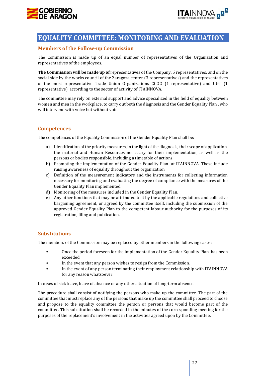



# <span id="page-26-0"></span>**EQUALITY COMMITTEE: MONITORING AND EVALUATION**

## <span id="page-26-1"></span>**Members of the Follow-up Commission**

The Commission is made up of an equal number of representatives of the Organization and representatives of the employees.

**The Commission will be made up of** representatives of the Company, 5 representatives: and on the social side by the works council of the Zaragoza center (3 representatives) and the representatives of the most representative Trade Union Organizations CCOO (1 representative) and UGT (1 representative), according to the sector of activity of ITAINNOVA.

The committee may rely on external support and advice specialized in the field of equality between women and men in the workplace, to carry out both the diagnosis and the Gender Equality Plan , who will intervene with voice but without vote.

## <span id="page-26-2"></span>**Competences**

The competences of the Equality Commission of the Gender Equality Plan shall be:

- a) Identification of the priority measures, in the light of the diagnosis, their scope of application, the material and Human Resources necessary for their implementation, as well as the persons or bodies responsible, including a timetable of actions.
- b) Promoting the implementation of the Gender Equality Plan at ITAINNOVA. These include raising awareness of equality throughout the organization.
- c) Definition of the measurement indicators and the instruments for collecting information necessary for monitoring and evaluating the degree of compliance with the measures of the Gender Equality Plan implemented.
- d) Monitoring of the measures included in the Gender Equality Plan.
- e) Any other functions that may be attributed to it by the applicable regulations and collective bargaining agreement, or agreed by the committee itself, including the submission of the approved Gender Equality Plan to the competent labour authority for the purposes of its registration, filing and publication.

## <span id="page-26-3"></span>**Substitutions**

The members of the Commission may be replaced by other members in the following cases:

- Once the period foreseen for the implementation of the Gender Equality Plan has been exceeded.
- In the event that any person wishes to resign from the Commission.
- In the event of any person terminating their employment relationship with ITAINNOVA for any reason whatsoever.

In cases of sick leave, leave of absence or any other situation of long-term absence.

<span id="page-26-4"></span>The procedure shall consist of notifying the persons who make up the committee. The part of the committee that must replace any of the persons that make up the committee shall proceed to choose and propose to the equality committee the person or persons that would become part of the committee. This substitution shall be recorded in the minutes of the corresponding meeting for the purposes of the replacement's involvement in the activities agreed upon by the Committee.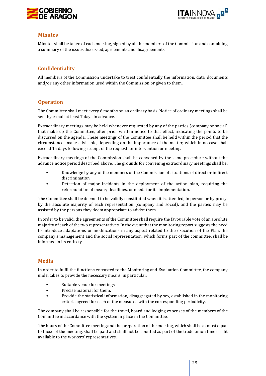



#### **Minutes**

Minutes shall be taken of each meeting, signed by all the members of the Commission and containing a summary of the issues discussed, agreements and disagreements.

## <span id="page-27-0"></span>**Confidentiality**

All members of the Commission undertake to treat confidentially the information, data, documents and/or any other information used within the Commission or given to them.

#### <span id="page-27-1"></span>**Operation**

The Committee shall meet every 6 months on an ordinary basis. Notice of ordinary meetings shall be sent by e-mail at least 7 days in advance.

Extraordinary meetings may be held whenever requested by any of the parties (company or social) that make up the Committee, after prior written notice to that effect, indicating the points to be discussed on the agenda. These meetings of the Committee shall be held within the period that the circumstances make advisable, depending on the importance of the matter, which in no case shall exceed 15 days following receipt of the request for intervention or meeting.

Extraordinary meetings of the Commission shall be convened by the same procedure without the advance notice period described above. The grounds for convening extraordinary meetings shall be:

- Knowledge by any of the members of the Commission of situations of direct or indirect discrimination.
- Detection of major incidents in the deployment of the action plan, requiring the reformulation of means, deadlines, or needs for its implementation.

The Committee shall be deemed to be validly constituted when it is attended, in person or by proxy, by the absolute majority of each representation (company and social), and the parties may be assisted by the persons they deem appropriate to advise them.

In order to be valid, the agreements of the Committee shall require the favourable vote of an absolute majority of each of the two representatives. In the event that the monitoring report suggests the need to introduce adaptations or modifications in any aspect related to the execution of the Plan, the company's management and the social representation, which forms part of the committee, shall be informed in its entirety.

#### <span id="page-27-2"></span>**Media**

In order to fulfil the functions entrusted to the Monitoring and Evaluation Committee, the company undertakes to provide the necessary means, in particular:

- Suitable venue for meetings.
- Precise material for them.
- Provide the statistical information, disaggregated by sex, established in the monitoring criteria agreed for each of the measures with the corresponding periodicity.

The company shall be responsible for the travel, board and lodging expenses of the members of the Committee in accordance with the system in place in the Committee.

The hours of the Committee meeting and the preparation of the meeting, which shall be at most equal to those of the meeting, shall be paid and shall not be counted as part of the trade union time credit available to the workers' representatives.